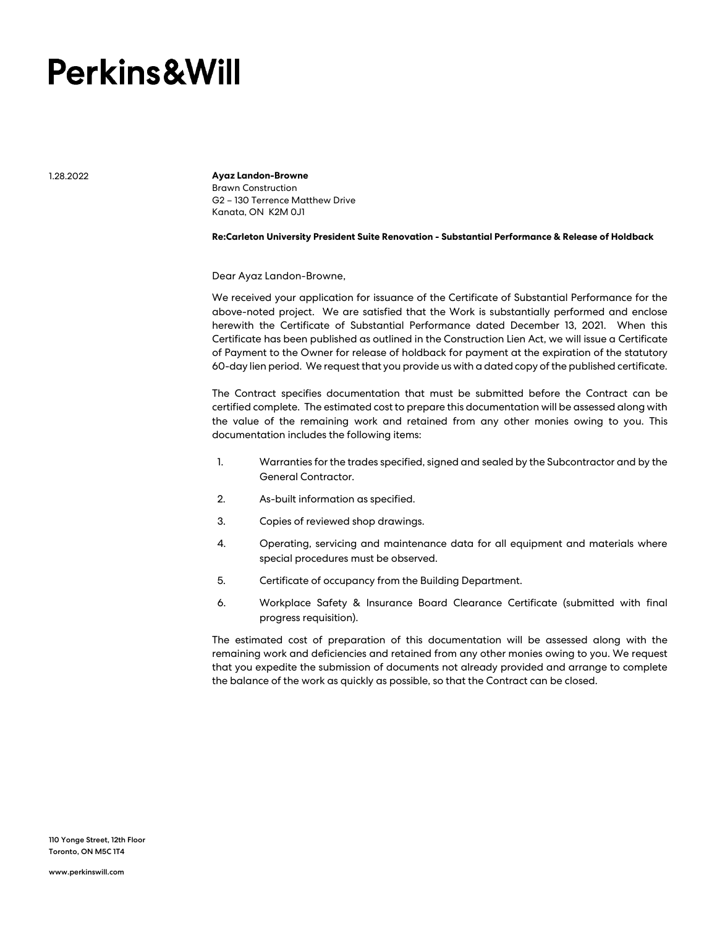## **Perkins&Will**

1.28.2022

**Ayaz Landon-Browne** Brawn Construction G2 – 130 Terrence Matthew Drive Kanata, ON K2M 0J1

**Re:Carleton University President Suite Renovation - Substantial Performance & Release of Holdback**

Dear Ayaz Landon-Browne,

We received your application for issuance of the Certificate of Substantial Performance for the above-noted project. We are satisfied that the Work is substantially performed and enclose herewith the Certificate of Substantial Performance dated December 13, 2021. When this Certificate has been published as outlined in the Construction Lien Act, we will issue a Certificate of Payment to the Owner for release of holdback for payment at the expiration of the statutory 60-day lien period. We request that you provide us with a dated copy of the published certificate.

The Contract specifies documentation that must be submitted before the Contract can be certified complete. The estimated cost to prepare this documentation will be assessed along with the value of the remaining work and retained from any other monies owing to you. This documentation includes the following items:

- 1. Warranties for the trades specified, signed and sealed by the Subcontractor and by the General Contractor.
- 2. As-built information as specified.
- 3. Copies of reviewed shop drawings.
- 4. Operating, servicing and maintenance data for all equipment and materials where special procedures must be observed.
- 5. Certificate of occupancy from the Building Department.
- 6. Workplace Safety & Insurance Board Clearance Certificate (submitted with final progress requisition).

The estimated cost of preparation of this documentation will be assessed along with the remaining work and deficiencies and retained from any other monies owing to you. We request that you expedite the submission of documents not already provided and arrange to complete the balance of the work as quickly as possible, so that the Contract can be closed.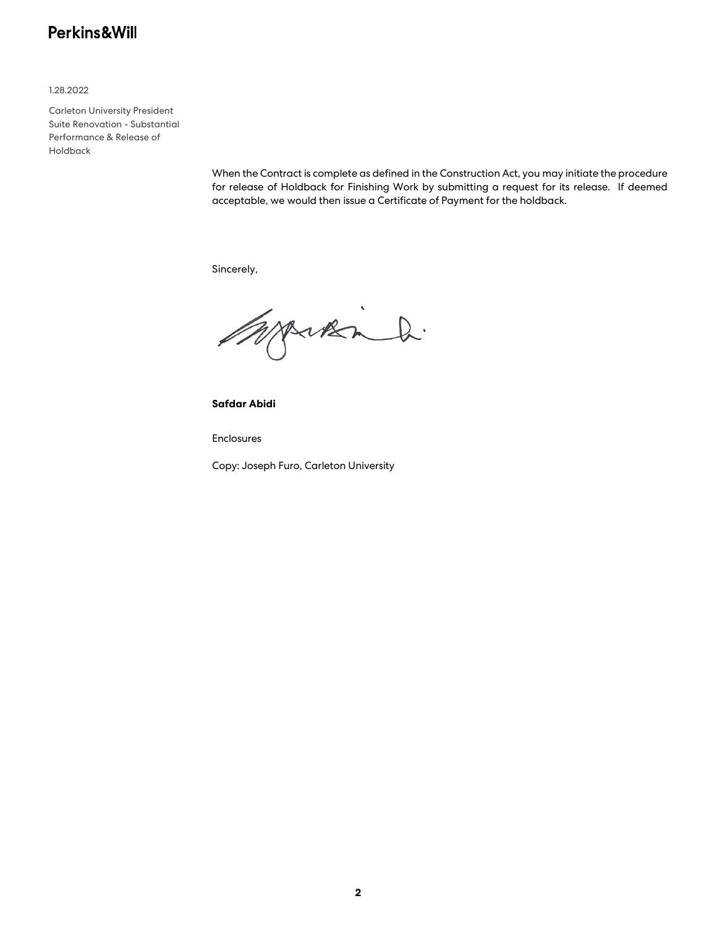## Perkins&Will

1.28.2022

Carleton University President Suite Renovation - Substantial Performance & Release of Holdback

> When the Contract is complete as defined in the Construction Act, you may initiate the procedure for release of Holdback for Finishing Work by submitting a request for its release. If deemed acceptable, we would then issue a Certificate of Payment for the holdback.

Sincerely,

Workin h.

**Safdar Abidi**

Enclosures

Copy: Joseph Furo, Carleton University

**2**